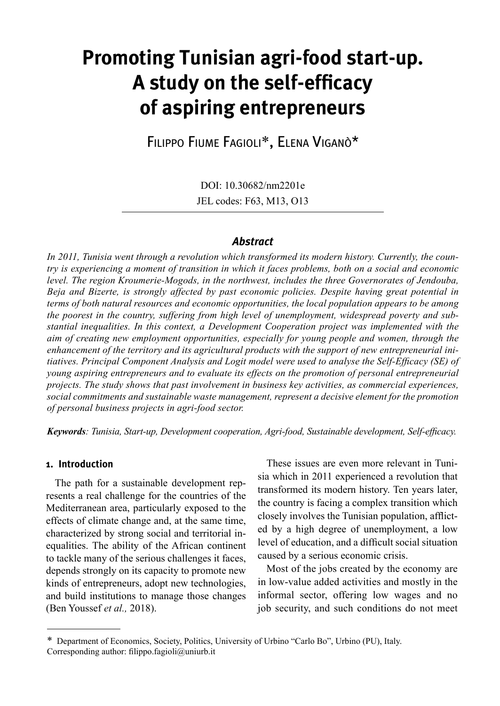# **Promoting Tunisian agri-food start-up. A study on the self-efficacy of aspiring entrepreneurs**

Filippo Fiume Fagioli\*, Elena Viganò\*

DOI: 10.30682/nm2201e JEL codes: F63, M13, O13

## *Abstract*

*In 2011, Tunisia went through a revolution which transformed its modern history. Currently, the country is experiencing a moment of transition in which it faces problems, both on a social and economic level. The region Kroumerie-Mogods, in the northwest, includes the three Governorates of Jendouba, Beja and Bizerte, is strongly affected by past economic policies. Despite having great potential in terms of both natural resources and economic opportunities, the local population appears to be among the poorest in the country, suffering from high level of unemployment, widespread poverty and substantial inequalities. In this context, a Development Cooperation project was implemented with the aim of creating new employment opportunities, especially for young people and women, through the enhancement of the territory and its agricultural products with the support of new entrepreneurial initiatives. Principal Component Analysis and Logit model were used to analyse the Self-Efficacy (SE) of young aspiring entrepreneurs and to evaluate its effects on the promotion of personal entrepreneurial projects. The study shows that past involvement in business key activities, as commercial experiences, social commitments and sustainable waste management, represent a decisive element for the promotion of personal business projects in agri-food sector.*

*Keywords: Tunisia, Start-up, Development cooperation, Agri-food, Sustainable development, Self-efficacy.*

## **1. Introduction**

The path for a sustainable development represents a real challenge for the countries of the Mediterranean area, particularly exposed to the effects of climate change and, at the same time, characterized by strong social and territorial inequalities. The ability of the African continent to tackle many of the serious challenges it faces, depends strongly on its capacity to promote new kinds of entrepreneurs, adopt new technologies, and build institutions to manage those changes (Ben Youssef *et al.,* 2018).

These issues are even more relevant in Tunisia which in 2011 experienced a revolution that transformed its modern history. Ten years later, the country is facing a complex transition which closely involves the Tunisian population, afflicted by a high degree of unemployment, a low level of education, and a difficult social situation caused by a serious economic crisis.

Most of the jobs created by the economy are in low-value added activities and mostly in the informal sector, offering low wages and no job security, and such conditions do not meet

<sup>\*</sup> Department of Economics, Society, Politics, University of Urbino "Carlo Bo", Urbino (PU), Italy. Corresponding author: filippo.fagioli@uniurb.it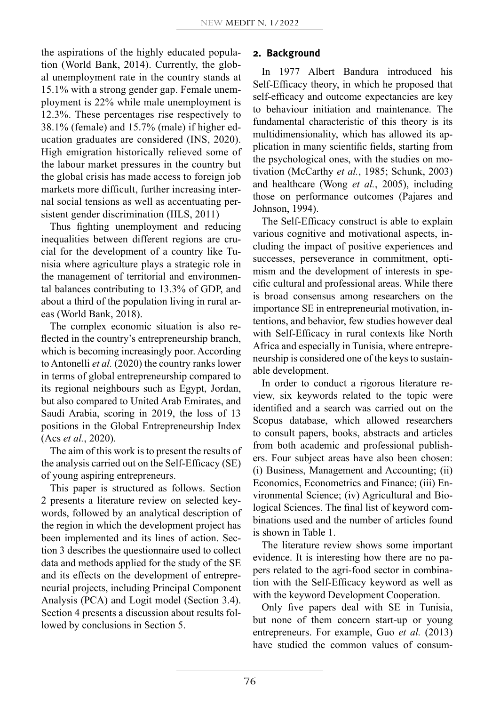the aspirations of the highly educated population (World Bank, 2014). Currently, the global unemployment rate in the country stands at 15.1% with a strong gender gap. Female unemployment is 22% while male unemployment is 12.3%. These percentages rise respectively to 38.1% (female) and 15.7% (male) if higher education graduates are considered (INS, 2020). High emigration historically relieved some of the labour market pressures in the country but the global crisis has made access to foreign job markets more difficult, further increasing internal social tensions as well as accentuating persistent gender discrimination (IILS, 2011)

Thus fighting unemployment and reducing inequalities between different regions are crucial for the development of a country like Tunisia where agriculture plays a strategic role in the management of territorial and environmental balances contributing to 13.3% of GDP, and about a third of the population living in rural areas (World Bank, 2018).

The complex economic situation is also reflected in the country's entrepreneurship branch, which is becoming increasingly poor. According to Antonelli *et al.* (2020) the country ranks lower in terms of global entrepreneurship compared to its regional neighbours such as Egypt, Jordan, but also compared to United Arab Emirates, and Saudi Arabia, scoring in 2019, the loss of 13 positions in the Global Entrepreneurship Index (Acs *et al.*, 2020).

The aim of this work is to present the results of the analysis carried out on the Self-Efficacy (SE) of young aspiring entrepreneurs.

This paper is structured as follows. Section 2 presents a literature review on selected keywords, followed by an analytical description of the region in which the development project has been implemented and its lines of action. Section 3 describes the questionnaire used to collect data and methods applied for the study of the SE and its effects on the development of entrepreneurial projects, including Principal Component Analysis (PCA) and Logit model (Section 3.4). Section 4 presents a discussion about results followed by conclusions in Section 5.

# **2. Background**

In 1977 Albert Bandura introduced his Self-Efficacy theory, in which he proposed that self-efficacy and outcome expectancies are key to behaviour initiation and maintenance. The fundamental characteristic of this theory is its multidimensionality, which has allowed its application in many scientific fields, starting from the psychological ones, with the studies on motivation (McCarthy *et al.*, 1985; Schunk, 2003) and healthcare (Wong *et al.*, 2005), including those on performance outcomes (Pajares and Johnson, 1994).

The Self-Efficacy construct is able to explain various cognitive and motivational aspects, including the impact of positive experiences and successes, perseverance in commitment, optimism and the development of interests in specific cultural and professional areas. While there is broad consensus among researchers on the importance SE in entrepreneurial motivation, intentions, and behavior, few studies however deal with Self-Efficacy in rural contexts like North Africa and especially in Tunisia, where entrepreneurship is considered one of the keys to sustainable development.

In order to conduct a rigorous literature review, six keywords related to the topic were identified and a search was carried out on the Scopus database, which allowed researchers to consult papers, books, abstracts and articles from both academic and professional publishers. Four subject areas have also been chosen: (i) Business, Management and Accounting; (ii) Economics, Econometrics and Finance; (iii) Environmental Science; (iv) Agricultural and Biological Sciences. The final list of keyword combinations used and the number of articles found is shown in Table 1.

The literature review shows some important evidence. It is interesting how there are no papers related to the agri-food sector in combination with the Self-Efficacy keyword as well as with the keyword Development Cooperation.

Only five papers deal with SE in Tunisia, but none of them concern start-up or young entrepreneurs. For example, Guo *et al.* (2013) have studied the common values of consum-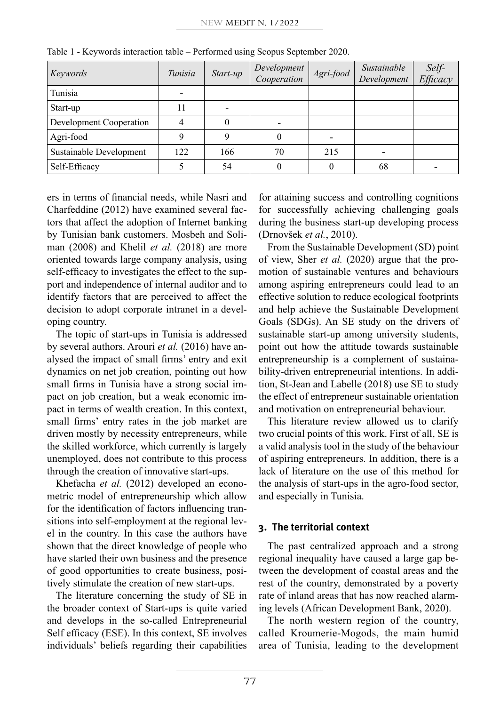| Keywords                | Tunisia | Start-up | Development<br>Cooperation | Agri-food | Sustainable<br>Development | Self-<br>Efficacy |
|-------------------------|---------|----------|----------------------------|-----------|----------------------------|-------------------|
| Tunisia                 |         |          |                            |           |                            |                   |
| Start-up                | 11      |          |                            |           |                            |                   |
| Development Cooperation |         | 0        |                            |           |                            |                   |
| Agri-food               |         |          |                            |           |                            |                   |
| Sustainable Development | 122     | 166      | 70                         | 215       |                            |                   |
| Self-Efficacy           |         | 54       |                            |           | 68                         |                   |

Table 1 - Keywords interaction table – Performed using Scopus September 2020.

ers in terms of financial needs, while Nasri and Charfeddine (2012) have examined several factors that affect the adoption of Internet banking by Tunisian bank customers. Mosbeh and Soliman (2008) and Khelil *et al.* (2018) are more oriented towards large company analysis, using self-efficacy to investigates the effect to the support and independence of internal auditor and to identify factors that are perceived to affect the decision to adopt corporate intranet in a developing country.

The topic of start-ups in Tunisia is addressed by several authors. Arouri *et al.* (2016) have analysed the impact of small firms' entry and exit dynamics on net job creation, pointing out how small firms in Tunisia have a strong social impact on job creation, but a weak economic impact in terms of wealth creation. In this context, small firms' entry rates in the job market are driven mostly by necessity entrepreneurs, while the skilled workforce, which currently is largely unemployed, does not contribute to this process through the creation of innovative start-ups.

Khefacha *et al.* (2012) developed an econometric model of entrepreneurship which allow for the identification of factors influencing transitions into self-employment at the regional level in the country. In this case the authors have shown that the direct knowledge of people who have started their own business and the presence of good opportunities to create business, positively stimulate the creation of new start-ups.

The literature concerning the study of SE in the broader context of Start-ups is quite varied and develops in the so-called Entrepreneurial Self efficacy (ESE). In this context, SE involves individuals' beliefs regarding their capabilities for attaining success and controlling cognitions for successfully achieving challenging goals during the business start-up developing process (Drnovšek *et al.*, 2010).

From the Sustainable Development (SD) point of view, Sher *et al.* (2020) argue that the promotion of sustainable ventures and behaviours among aspiring entrepreneurs could lead to an effective solution to reduce ecological footprints and help achieve the Sustainable Development Goals (SDGs). An SE study on the drivers of sustainable start-up among university students, point out how the attitude towards sustainable entrepreneurship is a complement of sustainability-driven entrepreneurial intentions. In addition, St-Jean and Labelle (2018) use SE to study the effect of entrepreneur sustainable orientation and motivation on entrepreneurial behaviour.

This literature review allowed us to clarify two crucial points of this work. First of all, SE is a valid analysis tool in the study of the behaviour of aspiring entrepreneurs. In addition, there is a lack of literature on the use of this method for the analysis of start-ups in the agro-food sector, and especially in Tunisia.

## **3. The territorial context**

The past centralized approach and a strong regional inequality have caused a large gap between the development of coastal areas and the rest of the country, demonstrated by a poverty rate of inland areas that has now reached alarming levels (African Development Bank, 2020).

The north western region of the country, called Kroumerie-Mogods, the main humid area of Tunisia, leading to the development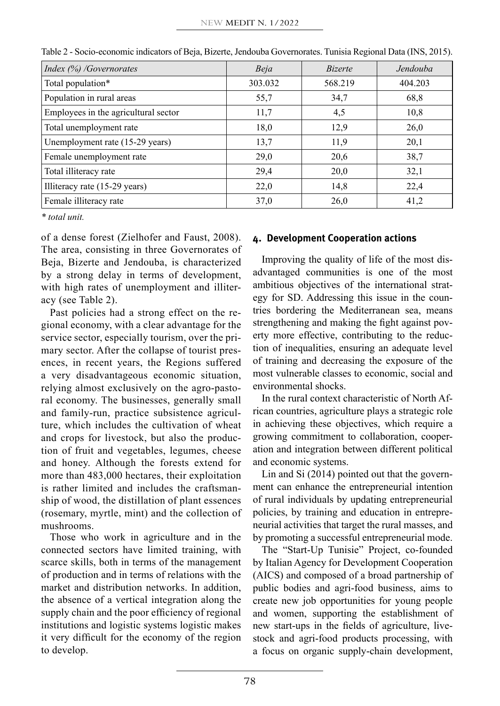| Index (%) / Governorates             | Beja    | <i>Bizerte</i> | Jendouba |
|--------------------------------------|---------|----------------|----------|
| Total population*                    | 303.032 | 568.219        | 404.203  |
| Population in rural areas            | 55,7    | 34,7           | 68,8     |
| Employees in the agricultural sector | 11,7    | 4,5            | 10,8     |
| Total unemployment rate              | 18,0    | 12,9           | 26,0     |
| Unemployment rate (15-29 years)      | 13.7    | 11,9           | 20,1     |
| Female unemployment rate             | 29,0    | 20,6           | 38,7     |
| Total illiteracy rate                | 29,4    | 20,0           | 32,1     |
| Illiteracy rate (15-29 years)        | 22,0    | 14,8           | 22,4     |
| Female illiteracy rate               | 37,0    | 26,0           | 41,2     |

Table 2 - Socio-economic indicators of Beja, Bizerte, Jendouba Governorates. Tunisia Regional Data (INS, 2015).

*\* total unit.*

of a dense forest (Zielhofer and Faust, 2008). The area, consisting in three Governorates of Beja, Bizerte and Jendouba, is characterized by a strong delay in terms of development, with high rates of unemployment and illiteracy (see Table 2).

Past policies had a strong effect on the regional economy, with a clear advantage for the service sector, especially tourism, over the primary sector. After the collapse of tourist presences, in recent years, the Regions suffered a very disadvantageous economic situation, relying almost exclusively on the agro-pastoral economy. The businesses, generally small and family-run, practice subsistence agriculture, which includes the cultivation of wheat and crops for livestock, but also the production of fruit and vegetables, legumes, cheese and honey. Although the forests extend for more than 483,000 hectares, their exploitation is rather limited and includes the craftsmanship of wood, the distillation of plant essences (rosemary, myrtle, mint) and the collection of mushrooms.

Those who work in agriculture and in the connected sectors have limited training, with scarce skills, both in terms of the management of production and in terms of relations with the market and distribution networks. In addition, the absence of a vertical integration along the supply chain and the poor efficiency of regional institutions and logistic systems logistic makes it very difficult for the economy of the region to develop.

## **4. Development Cooperation actions**

Improving the quality of life of the most disadvantaged communities is one of the most ambitious objectives of the international strategy for SD. Addressing this issue in the countries bordering the Mediterranean sea, means strengthening and making the fight against poverty more effective, contributing to the reduction of inequalities, ensuring an adequate level of training and decreasing the exposure of the most vulnerable classes to economic, social and environmental shocks.

In the rural context characteristic of North African countries, agriculture plays a strategic role in achieving these objectives, which require a growing commitment to collaboration, cooperation and integration between different political and economic systems.

Lin and Si (2014) pointed out that the government can enhance the entrepreneurial intention of rural individuals by updating entrepreneurial policies, by training and education in entrepreneurial activities that target the rural masses, and by promoting a successful entrepreneurial mode.

The "Start-Up Tunisie" Project, co-founded by Italian Agency for Development Cooperation (AICS) and composed of a broad partnership of public bodies and agri-food business, aims to create new job opportunities for young people and women, supporting the establishment of new start-ups in the fields of agriculture, livestock and agri-food products processing, with a focus on organic supply-chain development,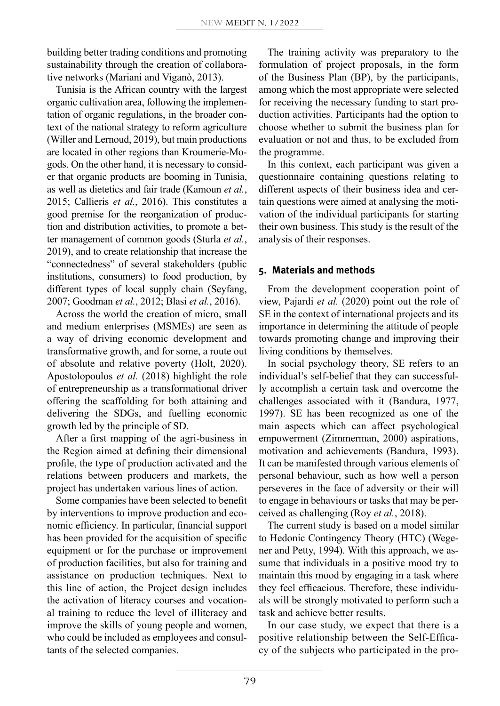building better trading conditions and promoting sustainability through the creation of collaborative networks (Mariani and Viganò, 2013).

Tunisia is the African country with the largest organic cultivation area, following the implementation of organic regulations, in the broader context of the national strategy to reform agriculture (Willer and Lernoud, 2019), but main productions are located in other regions than Kroumerie-Mogods. On the other hand, it is necessary to consider that organic products are booming in Tunisia, as well as dietetics and fair trade (Kamoun *et al.*, 2015; Callieris *et al.*, 2016). This constitutes a good premise for the reorganization of production and distribution activities, to promote a better management of common goods (Sturla *et al.*, 2019), and to create relationship that increase the "connectedness" of several stakeholders (public institutions, consumers) to food production, by different types of local supply chain (Seyfang, 2007; Goodman *et al.*, 2012; Blasi *et al.*, 2016).

Across the world the creation of micro, small and medium enterprises (MSMEs) are seen as a way of driving economic development and transformative growth, and for some, a route out of absolute and relative poverty (Holt, 2020). Apostolopoulos *et al.* (2018) highlight the role of entrepreneurship as a transformational driver offering the scaffolding for both attaining and delivering the SDGs, and fuelling economic growth led by the principle of SD.

After a first mapping of the agri-business in the Region aimed at defining their dimensional profile, the type of production activated and the relations between producers and markets, the project has undertaken various lines of action.

Some companies have been selected to benefit by interventions to improve production and economic efficiency. In particular, financial support has been provided for the acquisition of specific equipment or for the purchase or improvement of production facilities, but also for training and assistance on production techniques. Next to this line of action, the Project design includes the activation of literacy courses and vocational training to reduce the level of illiteracy and improve the skills of young people and women, who could be included as employees and consultants of the selected companies.

The training activity was preparatory to the formulation of project proposals, in the form of the Business Plan (BP), by the participants, among which the most appropriate were selected for receiving the necessary funding to start production activities. Participants had the option to choose whether to submit the business plan for evaluation or not and thus, to be excluded from the programme.

In this context, each participant was given a questionnaire containing questions relating to different aspects of their business idea and certain questions were aimed at analysing the motivation of the individual participants for starting their own business. This study is the result of the analysis of their responses.

## **5. Materials and methods**

From the development cooperation point of view, Pajardi *et al.* (2020) point out the role of SE in the context of international projects and its importance in determining the attitude of people towards promoting change and improving their living conditions by themselves.

In social psychology theory, SE refers to an individual's self-belief that they can successfully accomplish a certain task and overcome the challenges associated with it (Bandura, 1977, 1997). SE has been recognized as one of the main aspects which can affect psychological empowerment (Zimmerman, 2000) aspirations, motivation and achievements (Bandura, 1993). It can be manifested through various elements of personal behaviour, such as how well a person perseveres in the face of adversity or their will to engage in behaviours or tasks that may be perceived as challenging (Roy *et al.*, 2018).

The current study is based on a model similar to Hedonic Contingency Theory (HTC) (Wegener and Petty, 1994). With this approach, we assume that individuals in a positive mood try to maintain this mood by engaging in a task where they feel efficacious. Therefore, these individuals will be strongly motivated to perform such a task and achieve better results.

In our case study, we expect that there is a positive relationship between the Self-Efficacy of the subjects who participated in the pro-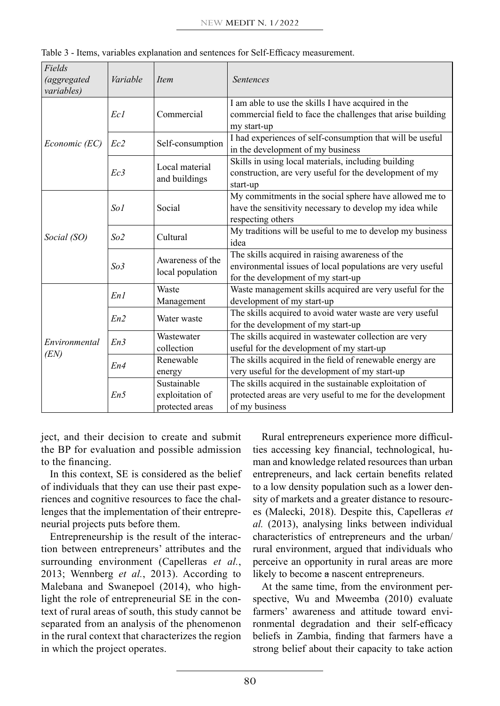| Fields<br><i>(aggregated</i><br><i>variables</i> ) | Variable                                                 | Item                            | <b>Sentences</b>                                                                                                                                   |  |  |  |  |  |
|----------------------------------------------------|----------------------------------------------------------|---------------------------------|----------------------------------------------------------------------------------------------------------------------------------------------------|--|--|--|--|--|
|                                                    | Ec1                                                      | Commercial                      | I am able to use the skills I have acquired in the<br>commercial field to face the challenges that arise building<br>my start-up                   |  |  |  |  |  |
| Economic (EC)                                      | Ec <sub>2</sub>                                          | Self-consumption                | I had experiences of self-consumption that will be useful<br>in the development of my business                                                     |  |  |  |  |  |
|                                                    | Ec3                                                      | Local material<br>and buildings | Skills in using local materials, including building<br>construction, are very useful for the development of my<br>start-up                         |  |  |  |  |  |
|                                                    | So1                                                      | Social                          | My commitments in the social sphere have allowed me to<br>have the sensitivity necessary to develop my idea while<br>respecting others             |  |  |  |  |  |
| Social (SO)                                        | Cultural<br>So <sub>2</sub>                              |                                 | My traditions will be useful to me to develop my business<br>idea                                                                                  |  |  |  |  |  |
|                                                    | Awareness of the<br>So <sub>3</sub><br>local population  |                                 | The skills acquired in raising awareness of the<br>environmental issues of local populations are very useful<br>for the development of my start-up |  |  |  |  |  |
|                                                    | En1                                                      | Waste<br>Management             | Waste management skills acquired are very useful for the<br>development of my start-up                                                             |  |  |  |  |  |
|                                                    | En2<br>Water waste                                       |                                 | The skills acquired to avoid water waste are very useful<br>for the development of my start-up                                                     |  |  |  |  |  |
| Environmental<br>(EN)                              | En3                                                      | Wastewater<br>collection        | The skills acquired in wastewater collection are very<br>useful for the development of my start-up                                                 |  |  |  |  |  |
|                                                    | Renewable<br>En4<br>energy                               |                                 | The skills acquired in the field of renewable energy are<br>very useful for the development of my start-up                                         |  |  |  |  |  |
|                                                    | Sustainable<br>En5<br>exploitation of<br>protected areas |                                 | The skills acquired in the sustainable exploitation of<br>protected areas are very useful to me for the development<br>of my business              |  |  |  |  |  |

Table 3 - Items, variables explanation and sentences for Self-Efficacy measurement.

ject, and their decision to create and submit the BP for evaluation and possible admission to the financing.

In this context, SE is considered as the belief of individuals that they can use their past experiences and cognitive resources to face the challenges that the implementation of their entrepreneurial projects puts before them.

Entrepreneurship is the result of the interaction between entrepreneurs' attributes and the surrounding environment (Capelleras *et al.*, 2013; Wennberg *et al.*, 2013). According to Malebana and Swanepoel (2014), who highlight the role of entrepreneurial SE in the context of rural areas of south, this study cannot be separated from an analysis of the phenomenon in the rural context that characterizes the region in which the project operates.

Rural entrepreneurs experience more difficulties accessing key financial, technological, human and knowledge related resources than urban entrepreneurs, and lack certain benefits related to a low density population such as a lower density of markets and a greater distance to resources (Malecki, 2018). Despite this, Capelleras *et al.* (2013), analysing links between individual characteristics of entrepreneurs and the urban/ rural environment, argued that individuals who perceive an opportunity in rural areas are more likely to become a nascent entrepreneurs.

At the same time, from the environment perspective, Wu and Mweemba (2010) evaluate farmers' awareness and attitude toward environmental degradation and their self-efficacy beliefs in Zambia, finding that farmers have a strong belief about their capacity to take action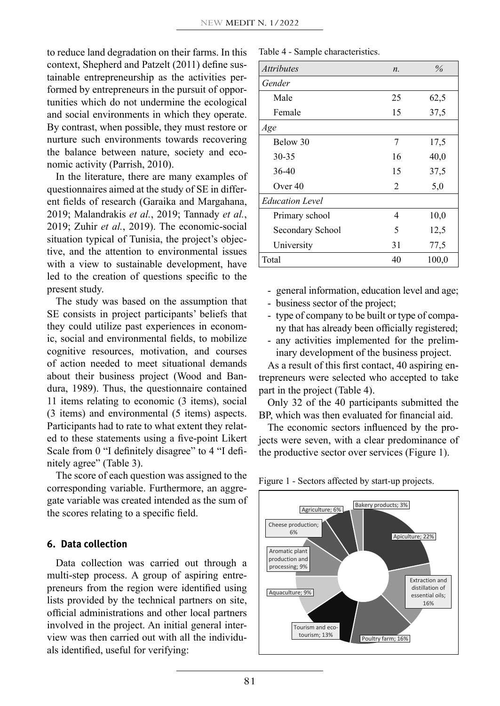to reduce land degradation on their farms. In this context, Shepherd and Patzelt (2011) define sustainable entrepreneurship as the activities performed by entrepreneurs in the pursuit of opportunities which do not undermine the ecological and social environments in which they operate. By contrast, when possible, they must restore or nurture such environments towards recovering the balance between nature, society and economic activity (Parrish, 2010).

In the literature, there are many examples of questionnaires aimed at the study of SE in different fields of research (Garaika and Margahana, 2019; Malandrakis *et al.*, 2019; Tannady *et al.*, 2019; Zuhir *et al.*, 2019). The economic-social situation typical of Tunisia, the project's objective, and the attention to environmental issues with a view to sustainable development, have led to the creation of questions specific to the present study.

The study was based on the assumption that SE consists in project participants' beliefs that they could utilize past experiences in economic, social and environmental fields, to mobilize cognitive resources, motivation, and courses of action needed to meet situational demands about their business project (Wood and Bandura, 1989). Thus, the questionnaire contained 11 items relating to economic (3 items), social (3 items) and environmental (5 items) aspects. Participants had to rate to what extent they related to these statements using a five-point Likert Scale from 0 "I definitely disagree" to 4 "I definitely agree" (Table 3).

The score of each question was assigned to the corresponding variable. Furthermore, an aggregate variable was created intended as the sum of the scores relating to a specific field.

### **6. Data collection**

Data collection was carried out through a multi-step process. A group of aspiring entrepreneurs from the region were identified using lists provided by the technical partners on site, official administrations and other local partners involved in the project. An initial general interview was then carried out with all the individuals identified, useful for verifying:

Table 4 - Sample characteristics.

| <i>Attributes</i>      | $n$ .          | $\%$  |
|------------------------|----------------|-------|
| Gender                 |                |       |
| Male                   | 25             | 62,5  |
| Female                 | 15             | 37,5  |
| Age                    |                |       |
| Below 30               | 7              | 17,5  |
| $30 - 35$              | 16             | 40,0  |
| $36 - 40$              | 15             | 37,5  |
| Over $40$              | $\overline{c}$ | 5,0   |
| <b>Education Level</b> |                |       |
| Primary school         | 4              | 10,0  |
| Secondary School       | 5              | 12.5  |
| University             | 31             | 77,5  |
| Total                  | 40             | 100,0 |

- general information, education level and age;
- business sector of the project;
- type of company to be built or type of company that has already been officially registered;
- any activities implemented for the preliminary development of the business project.

As a result of this first contact, 40 aspiring entrepreneurs were selected who accepted to take part in the project (Table 4).

Only 32 of the 40 participants submitted the BP, which was then evaluated for financial aid.

The economic sectors influenced by the projects were seven, with a clear predominance of the productive sector over services (Figure 1).

Figure 1 - Sectors affected by start-up projects.

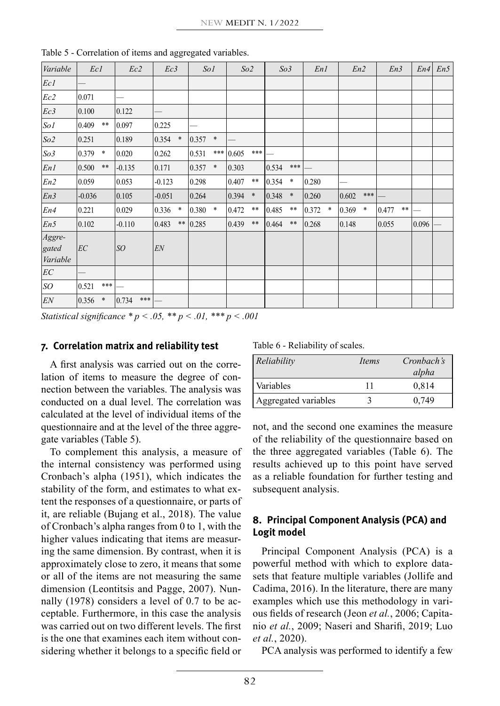| Variable                    | Ec1      |        | Ec2            | Ec3      |        | So1   |        | So2   |            | So <sub>3</sub> |        | En1   |        | En2   |        | En3   |            | En4   | En5 |
|-----------------------------|----------|--------|----------------|----------|--------|-------|--------|-------|------------|-----------------|--------|-------|--------|-------|--------|-------|------------|-------|-----|
| Ecl                         |          |        |                |          |        |       |        |       |            |                 |        |       |        |       |        |       |            |       |     |
| Ec2                         | 0.071    |        |                |          |        |       |        |       |            |                 |        |       |        |       |        |       |            |       |     |
| Ec3                         | 0.100    |        | 0.122          |          |        |       |        |       |            |                 |        |       |        |       |        |       |            |       |     |
| SoI                         | 0.409    | $***$  | 0.097          | 0.225    |        |       |        |       |            |                 |        |       |        |       |        |       |            |       |     |
| So2                         | 0.251    |        | 0.189          | 0.354    | $\ast$ | 0.357 | $\ast$ |       |            |                 |        |       |        |       |        |       |            |       |     |
| So <sub>3</sub>             | 0.379    | $\ast$ | 0.020          | 0.262    |        | 0.531 | ***    | 0.605 | $***$      |                 |        |       |        |       |        |       |            |       |     |
| EnI                         | 0.500    | $***$  | $-0.135$       | 0.171    |        | 0.357 | *      | 0.303 |            | 0.534           | $***$  |       |        |       |        |       |            |       |     |
| En2                         | 0.059    |        | 0.053          | $-0.123$ |        | 0.298 |        | 0.407 | $***$      | 0.354           | $\ast$ | 0.280 |        |       |        |       |            |       |     |
| En3                         | $-0.036$ |        | 0.105          | $-0.051$ |        | 0.264 |        | 0.394 | $\ast$     | 0.348           | $\ast$ | 0.260 |        | 0.602 | ***    |       |            |       |     |
| En4                         | 0.221    |        | 0.029          | 0.336    | $\ast$ | 0.380 | *      | 0.472 | $***$      | 0.485           | $***$  | 0.372 | $\ast$ | 0.369 | $\ast$ | 0.477 | $\ast\ast$ |       |     |
| En5                         | 0.102    |        | $-0.110$       | 0.483    | $***$  | 0.285 |        | 0.439 | $\ast\ast$ | 0.464           | $***$  | 0.268 |        | 0.148 |        | 0.055 |            | 0.096 |     |
| Aggre-<br>gated<br>Variable | EC       |        | SO             | EN       |        |       |        |       |            |                 |        |       |        |       |        |       |            |       |     |
| $\mathcal{E}\mathcal{C}$    |          |        |                |          |        |       |        |       |            |                 |        |       |        |       |        |       |            |       |     |
| SO                          | 0.521    | ***    |                |          |        |       |        |       |            |                 |        |       |        |       |        |       |            |       |     |
| EN                          | 0.356    | *      | 0.734<br>$***$ |          |        |       |        |       |            |                 |        |       |        |       |        |       |            |       |     |

Table 5 - Correlation of items and aggregated variables.

*Statistical significance \* p < .05, \*\* p < .01, \*\*\* p < .001* 

#### **7. Correlation matrix and reliability test**

A first analysis was carried out on the correlation of items to measure the degree of connection between the variables. The analysis was conducted on a dual level. The correlation was calculated at the level of individual items of the questionnaire and at the level of the three aggregate variables (Table 5).

To complement this analysis, a measure of the internal consistency was performed using Cronbach's alpha (1951), which indicates the stability of the form, and estimates to what extent the responses of a questionnaire, or parts of it, are reliable (Bujang et al., 2018). The value of Cronbach's alpha ranges from 0 to 1, with the higher values indicating that items are measuring the same dimension. By contrast, when it is approximately close to zero, it means that some or all of the items are not measuring the same dimension (Leontitsis and Pagge, 2007). Nunnally (1978) considers a level of 0.7 to be acceptable. Furthermore, in this case the analysis was carried out on two different levels. The first is the one that examines each item without considering whether it belongs to a specific field or Table 6 - Reliability of scales.

| Reliability          | <i>Items</i> | Cronbach's |
|----------------------|--------------|------------|
|                      |              | alpha      |
| Variables            |              | 0.814      |
| Aggregated variables |              | 0.749      |

not, and the second one examines the measure of the reliability of the questionnaire based on the three aggregated variables (Table 6). The results achieved up to this point have served as a reliable foundation for further testing and subsequent analysis.

## **8. Principal Component Analysis (PCA) and Logit model**

Principal Component Analysis (PCA) is a powerful method with which to explore datasets that feature multiple variables (Jollife and Cadima, 2016). In the literature, there are many examples which use this methodology in various fields of research (Jeon *et al.*, 2006; Capitanio *et al.*, 2009; Naseri and Sharifi, 2019; Luo *et al.*, 2020).

PCA analysis was performed to identify a few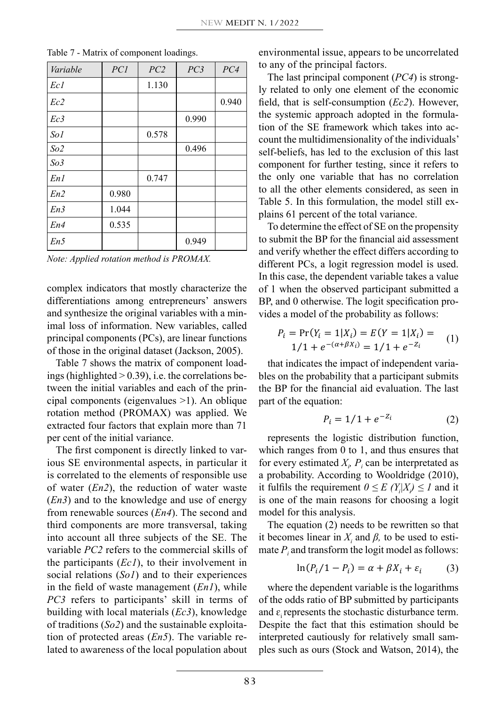| Variable        | PC1   | PC2   | PC3   | PC4   |
|-----------------|-------|-------|-------|-------|
| Ecl             |       | 1.130 |       |       |
| Ec2             |       |       |       | 0.940 |
| Ec3             |       |       | 0.990 |       |
| SoI             |       | 0.578 |       |       |
| So2             |       |       | 0.496 |       |
| So <sub>3</sub> |       |       |       |       |
| En1             |       | 0.747 |       |       |
| En2             | 0.980 |       |       |       |
| En3             | 1.044 |       |       |       |
| En4             | 0.535 |       |       |       |
| En5             |       |       | 0.949 |       |

Table 7 - Matrix of component loadings.

*Note: Applied rotation method is PROMAX.*

complex indicators that mostly characterize the differentiations among entrepreneurs' answers and synthesize the original variables with a minimal loss of information. New variables, called principal components (PCs), are linear functions of those in the original dataset (Jackson, 2005).  $1/1 + e^{-(\alpha + \beta X_i)} = 1/1 + e^{-2i}$ 

Table 7 shows the matrix of component loadings (highlighted  $> 0.39$ ), i.e. the correlations between the initial variables and each of the principal components (eigenvalues >1). An oblique rotation method (PROMAX) was applied. We extracted four factors that explain more than 71 per cent of the initial variance.

The first component is directly linked to various SE environmental aspects, in particular it is correlated to the elements of responsible use of water (*En2*), the reduction of water waste (*En3*) and to the knowledge and use of energy from renewable sources  $(En4)$ . The second and third components are more transversal, taking<br>interaccept all these relies to a file SE. The into account all three subjects of the SE. The variable *PC2* refers to the commercial skills of the participants (*Ec1*), to their involvement in social relations (*So1*) and to their experiences in the field of waste management (*En1*), while *PC3* refers to participants' skill in terms of building with local materials (*Ec3*), knowledge of traditions (*So2*) and the sustainable exploitation of protected areas (*En5*). The variable related to awareness of the local population about

environmental issue, appears to be uncorrelated to any of the principal factors.

The last principal component (*PC4*) is strongly related to only one element of the economic field, that is self-consumption (*Ec2*). However, the systemic approach adopted in the formulation of the SE framework which takes into account the multidimensionality of the individuals' self-beliefs, has led to the exclusion of this last component for further testing, since it refers to the only one variable that has no correlation to all the other elements considered, as seen in Table 5. In this formulation, the model still explains 61 percent of the total variance.

To determine the effect of SE on the propensity to submit the BP for the financial aid assessment and verify whether the effect differs according to different PCs, a logit regression model is used. In this case, the dependent variable takes a value of 1 when the observed participant submitted a BP, and 0 otherwise. The logit specification provides a model of the probability as follows:

$$
P_i = \Pr(Y_i = 1 | X_i) = E(Y = 1 | X_i) =
$$
  
1/1 + e<sup>-(\alpha + \beta X\_i)</sup> = 1/1 + e<sup>-Z\_i</sup> (1)

that indicates the impact of independent variables on the probability that a participant submits  $\mathbf{r} = \mathbf{r} \times \mathbf{r}$ bles and each of the prin- the BP for the financial aid evaluation. The last part of the equation:

$$
P_i = 1/1 + e^{-Z_i} \tag{2}
$$

 $r_{\text{variance}}$ . The represents the logistic distribution function, which ranges from 0 to 1, and thus ensures that for every estimated  $X_p$ ,  $P_i$  can be interpretated as of responsible use a probability. According to Wooldridge (2010), it fulfils the requirement  $0 \le E(Y_i|X_i) \le I$  and it  $\frac{1}{\sqrt{2}}$  =  $\frac{1}{\sqrt{2}}$  +  $\frac{1}{\sqrt{2}}$  +  $\frac{1}{\sqrt{2}}$  +  $\frac{1}{\sqrt{2}}$  +  $\frac{1}{\sqrt{2}}$  +  $\frac{1}{\sqrt{2}}$  +  $\frac{1}{\sqrt{2}}$  +  $\frac{1}{\sqrt{2}}$  +  $\frac{1}{\sqrt{2}}$  +  $\frac{1}{\sqrt{2}}$  +  $\frac{1}{\sqrt{2}}$  +  $\frac{1}{\sqrt{2}}$  +  $\frac{1}{\sqrt{2}}$  +  $\frac{1}{\sqrt{2}}$ 4). The second and model for this analysis.

The equation  $(2)$  needs to be rewritten so that it becomes linear in  $X_i$  and  $\beta$ , to be used to estimate  $P_i$  and transform the logit model as follows:

$$
\ln(P_i/1 - P_i) = \alpha + \beta X_i + \varepsilon_i \tag{3}
$$

where the dependent variable is the logarithms of the odds ratio of BP submitted by participants and  $\varepsilon$ <sub>i</sub> represents the stochastic disturbance term. Despite the fact that this estimation should be interpreted cautiously for relatively small samples such as ours (Stock and Watson, 2014), the "IJ and 3 =

∑ 3" + 2" + 5" <sup>H</sup> "IJ .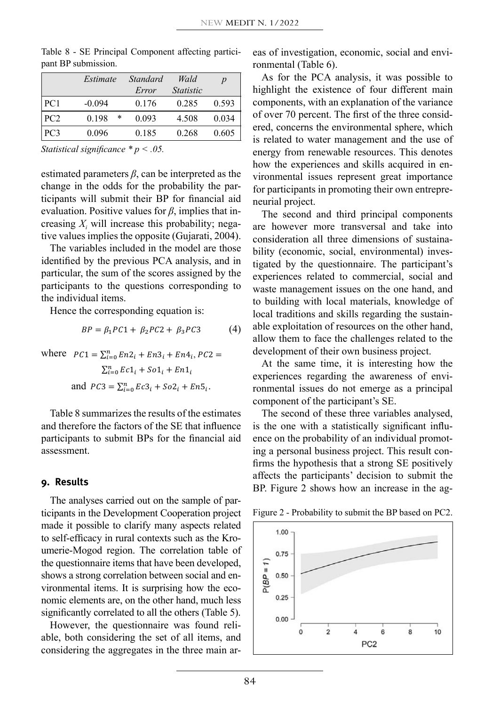|                 | Estimate   | Standard | Wald             | $\boldsymbol{p}$ |
|-----------------|------------|----------|------------------|------------------|
|                 |            | Error    | <i>Statistic</i> |                  |
| PC1             | $-0.094$   | 0.176    | 0.285            | 0.593            |
| PC2             | 0.198<br>* | 0.093    | 4.508            | 0.034            |
| PC <sub>3</sub> | 0.096      | 0.185    | 0.268            | 0.605            |

Table 8 - SE Principal Component affecting participant BP submission.

*Statistical significance \* p < .05.*

estimated parameters  $\beta$ , can be interpreted as the change in the odds for the probability the par- $\frac{1}{2}$  and  $\frac{1}{2}$  are  $\frac{1}{2}$  and  $\frac{1}{2}$  are  $\frac{1}{2}$  to participants in promoting their ticipants will submit their BP for financial aid  $\frac{1}{2}$  neurial project. evaluation. Positive values for *β*, implies that in-<br>The second and third r creasing  $X_i$  will increase this probability; negative values implies the opposite (Gujarati, 2004). consideration all three dimens

The variables included in the model are those  $\frac{1}{2}$  bility (economic, social, identified by the previous PCA analysis, and in  $\mu$  and  $\mu$  of  $\mu$  is the scores assigned by the particular, the sum of the scores assigned by the participants to the questions corresponding to  $\theta$  waste management issue the individual items.  $\frac{1}{2}$  are  $\frac{1}{2}$  of  $\frac{1}{2}$  and  $\frac{1}{2}$  =  $\frac{1}{2}$  +  $\frac{1}{2}$  +  $\frac{1}{2}$  +  $\frac{1}{2}$  +  $\frac{1}{2}$  +  $\frac{1}{2}$  +  $\frac{1}{2}$  +  $\frac{1}{2}$  +  $\frac{1}{2}$  +  $\frac{1}{2}$  +  $\frac{1}{2}$  +  $\frac{1}{2}$  +  $\$ 

Hence the corresponding equation is:

$$
BP = \beta_1 PC1 + \beta_2 PC2 + \beta_3 PC3 \tag{4}
$$

where  $PC1 = \sum_{i=0}^{n} En2_i + En3_i + En4_i$ ,  $PC2 =$  development o and  $PC3 = \sum_{i=0}^{n} Ec3_i + So2_i + En5_i$ .  $\mathcal{I}$  , 2  $\mathcal{I}$  , 2  $\mathcal{I}$  $\sum_{i=0}^{n} Ec1_i + So1_i + En1_i$  At the experience  $\mathcal{L}_{i=0}$   $\mathcal{L}$   $\mathcal{L}_{1}$ 

> Table 8 summarizes the results of the estimates and therefore the factors of the SE that influence participants to submit BPs for the financial aid assessment.

#### **9. Results**

The analyses carried out on the sample of participants in the Development Cooperation project made it possible to clarify many aspects related to self-efficacy in rural contexts such as the Kroumerie-Mogod region. The correlation table of the questionnaire items that have been developed, shows a strong correlation between social and environmental items. It is surprising how the economic elements are, on the other hand, much less significantly correlated to all the others (Table 5).

However, the questionnaire was found reliable, both considering the set of all items, and considering the aggregates in the three main areas of investigation, economic, social and environmental (Table 6).

As for the PCA analysis, it was possible to highlight the existence of four different main components, with an explanation of the variance of over 70 percent. The first of the three considered, concerns the environmental sphere, which is related to water management and the use of energy from renewable resources. This denotes how the experiences and skills acquired in environmental issues represent great importance for participants in promoting their own entrepreneurial project.

 $\lim_{n \to \infty}$  Tree Indication and Theurian project.<br>The second and third principal components in the model are those bility (economic, social, environmental) invesluons corresponding to waste management issues on the one hand, and  $\beta_3 P C3$  (4) able exploitation of resources on the other hand,  $BP = \beta_1 P C1 + \beta_2 P C2 + \beta_3 P C3$  (4) able exploration of resources on the other hand,<br>allow them to face the challenges related to the If the sum of the scores assigned by the experiences related to commercial, social and responding equation is: local traditions and skills regarding the sustainare however more transversal and take into consideration all three dimensions of sustainatigated by the questionnaire. The participant's to building with local materials, knowledge of development of their own business project.

 $En1<sub>i</sub>$  At the same time, it is interesting now the experiences regarding the awareness of envidevelopment of their own business project.<br>At the same time, it is interesting how the ronmental issues do not emerge as a principal component of the participant's SE.

> The second of these three variables analysed, is the one with a statistically significant influence on the probability of an individual promoting a personal business project. This result confirms the hypothesis that a strong SE positively affects the participants' decision to submit the BP. Figure 2 shows how an increase in the ag-

Figure 2 - Probability to submit the BP based on PC2.

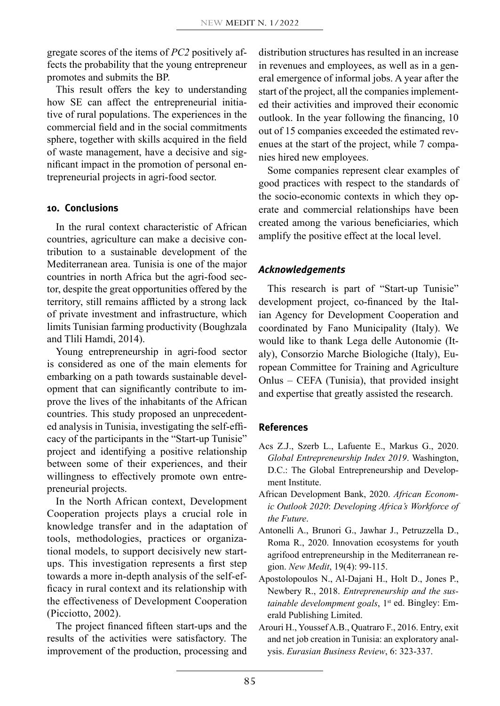gregate scores of the items of *PC2* positively affects the probability that the young entrepreneur promotes and submits the BP.

This result offers the key to understanding how SE can affect the entrepreneurial initiative of rural populations. The experiences in the commercial field and in the social commitments sphere, together with skills acquired in the field of waste management, have a decisive and significant impact in the promotion of personal entrepreneurial projects in agri-food sector.

## **10. Conclusions**

In the rural context characteristic of African countries, agriculture can make a decisive contribution to a sustainable development of the Mediterranean area. Tunisia is one of the major countries in north Africa but the agri-food sector, despite the great opportunities offered by the territory, still remains afflicted by a strong lack of private investment and infrastructure, which limits Tunisian farming productivity (Boughzala and Tlili Hamdi, 2014).

Young entrepreneurship in agri-food sector is considered as one of the main elements for embarking on a path towards sustainable development that can significantly contribute to improve the lives of the inhabitants of the African countries. This study proposed an unprecedented analysis in Tunisia, investigating the self-efficacy of the participants in the "Start-up Tunisie" project and identifying a positive relationship between some of their experiences, and their willingness to effectively promote own entrepreneurial projects.

In the North African context, Development Cooperation projects plays a crucial role in knowledge transfer and in the adaptation of tools, methodologies, practices or organizational models, to support decisively new startups. This investigation represents a first step towards a more in-depth analysis of the self-efficacy in rural context and its relationship with the effectiveness of Development Cooperation (Picciotto, 2002).

The project financed fifteen start-ups and the results of the activities were satisfactory. The improvement of the production, processing and

distribution structures has resulted in an increase in revenues and employees, as well as in a general emergence of informal jobs. A year after the start of the project, all the companies implemented their activities and improved their economic outlook. In the year following the financing, 10 out of 15 companies exceeded the estimated revenues at the start of the project, while 7 companies hired new employees.

Some companies represent clear examples of good practices with respect to the standards of the socio-economic contexts in which they operate and commercial relationships have been created among the various beneficiaries, which amplify the positive effect at the local level.

## *Acknowledgements*

This research is part of "Start-up Tunisie" development project, co-financed by the Italian Agency for Development Cooperation and coordinated by Fano Municipality (Italy). We would like to thank Lega delle Autonomie (Italy), Consorzio Marche Biologiche (Italy), European Committee for Training and Agriculture Onlus – CEFA (Tunisia), that provided insight and expertise that greatly assisted the research.

## **References**

- Acs Z.J., Szerb L., Lafuente E., Markus G., 2020. *Global Entrepreneurship Index 2019*. Washington, D.C.: The Global Entrepreneurship and Development Institute.
- African Development Bank, 2020. *African Economic Outlook 2020*: *Developing Africa's Workforce of the Future*.
- Antonelli A., Brunori G., Jawhar J., Petruzzella D., Roma R., 2020. Innovation ecosystems for youth agrifood entrepreneurship in the Mediterranean region. *New Medit*, 19(4): 99-115.
- Apostolopoulos N., Al-Dajani H., Holt D., Jones P., Newbery R., 2018. *Entrepreneurship and the sustainable develompment goals*, 1<sup>st</sup> ed. Bingley: Emerald Publishing Limited.
- Arouri H., Youssef A.B., Quatraro F., 2016. Entry, exit and net job creation in Tunisia: an exploratory analysis. *Eurasian Business Review*, 6: 323-337.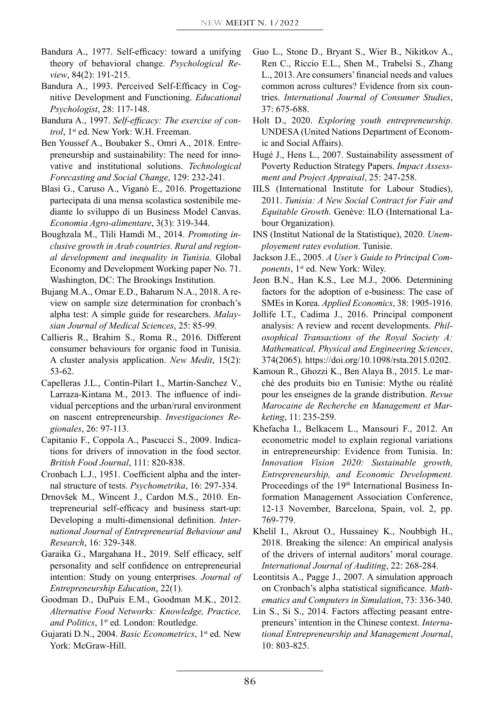- Bandura A., 1977. Self-efficacy: toward a unifying theory of behavioral change. *Psychological Review*, 84(2): 191-215.
- Bandura A., 1993. Perceived Self-Efficacy in Cognitive Development and Functioning. *Educational Psychologist*, 28: 117-148.
- Bandura A., 1997. *Self-efficacy: The exercise of con*trol, 1<sup>st</sup> ed. New York: W.H. Freeman.
- Ben Youssef A., Boubaker S., Omri A., 2018. Entrepreneurship and sustainability: The need for innovative and institutional solutions. *Technological Forecasting and Social Change*, 129: 232-241.
- Blasi G., Caruso A., Viganò E., 2016. Progettazione partecipata di una mensa scolastica sostenibile mediante lo sviluppo di un Business Model Canvas. *Economia Agro-alimentare*, 3(3): 319-344.
- Boughzala M., Tlili Hamdi M., 2014. *Promoting inclusive growth in Arab countries. Rural and regional development and inequality in Tunisia*. Global Economy and Development Working paper No. 71. Washington, DC: The Brookings Institution.
- Bujang M.A., Omar E.D., Baharum N.A., 2018. A review on sample size determination for cronbach's alpha test: A simple guide for researchers. *Malaysian Journal of Medical Sciences*, 25: 85-99.
- Callieris R., Brahim S., Roma R., 2016. Different consumer behaviours for organic food in Tunisia. A cluster analysis application. *New Medit*, 15(2): 53-62.
- Capelleras J.L., Contín-Pilart I., Martin-Sanchez V., Larraza-Kintana M., 2013. The influence of individual perceptions and the urban/rural environment on nascent entrepreneurship. *Investigaciones Regionales*, 26: 97-113.
- Capitanio F., Coppola A., Pascucci S., 2009. Indications for drivers of innovation in the food sector. *British Food Journal*, 111: 820-838.
- Cronbach L.J., 1951. Coefficient alpha and the internal structure of tests. *Psychometrika*, 16: 297-334.
- Drnovšek M., Wincent J., Cardon M.S., 2010. Entrepreneurial self-efficacy and business start-up: Developing a multi-dimensional definition. *International Journal of Entrepreneurial Behaviour and Research*, 16: 329-348.
- Garaika G., Margahana H., 2019. Self efficacy, self personality and self confidence on entrepreneurial intention: Study on young enterprises. *Journal of Entrepreneurship Education*, 22(1).
- Goodman D., DuPuis E.M., Goodman M.K., 2012. *Alternative Food Networks: Knowledge, Practice,*  and Politics, 1<sup>st</sup> ed. London: Routledge.
- Gujarati D.N., 2004. *Basic Econometrics*, 1<sup>st</sup> ed. New York: McGraw-Hill.
- Guo L., Stone D., Bryant S., Wier B., Nikitkov A., Ren C., Riccio E.L., Shen M., Trabelsi S., Zhang L., 2013. Are consumers' financial needs and values common across cultures? Evidence from six countries. *International Journal of Consumer Studies*, 37: 675-688.
- Holt D., 2020. *Exploring youth entrepreneurship*. UNDESA (United Nations Department of Economic and Social Affairs).
- Hugé J., Hens L., 2007. Sustainability assessment of Poverty Reduction Strategy Papers. *Impact Assessment and Project Appraisal*, 25: 247-258.
- IILS (International Institute for Labour Studies), 2011. *Tunisia: A New Social Contract for Fair and Equitable Growth*. Genève: ILO (International Labour Organization).
- INS (Institut National de la Statistique), 2020. *Unemployement rates evolution*. Tunisie.
- Jackson J.E., 2005. *A User's Guide to Principal Components*, 1<sup>st</sup> ed. New York: Wiley.
- Jeon B.N., Han K.S., Lee M.J., 2006. Determining factors for the adoption of e-business: The case of SMEs in Korea. *Applied Economics*, 38: 1905-1916.
- Jollife I.T., Cadima J., 2016. Principal component analysis: A review and recent developments. *Philosophical Transactions of the Royal Society A: Mathematical, Physical and Engineering Sciences*, 374(2065). https://doi.org/10.1098/rsta.2015.0202.
- Kamoun R., Ghozzi K., Ben Alaya B., 2015. Le marché des produits bio en Tunisie: Mythe ou réalité pour les enseignes de la grande distribution. *Revue Marocaine de Recherche en Management et Marketing*, 11: 235-259.
- Khefacha I., Belkacem L., Mansouri F., 2012. An econometric model to explain regional variations in entrepreneurship: Evidence from Tunisia. In: *Innovation Vision 2020: Sustainable growth, Entrepreneurship, and Economic Development.*  Proceedings of the 19<sup>th</sup> International Business Information Management Association Conference, 12-13 November, Barcelona, Spain, vol. 2, pp. 769-779.
- Khelil I., Akrout O., Hussainey K., Noubbigh H., 2018. Breaking the silence: An empirical analysis of the drivers of internal auditors' moral courage. *International Journal of Auditing*, 22: 268-284.
- Leontitsis A., Pagge J., 2007. A simulation approach on Cronbach's alpha statistical significance. *Mathematics and Computers in Simulation*, 73: 336-340.
- Lin S., Si S., 2014. Factors affecting peasant entrepreneurs' intention in the Chinese context. *International Entrepreneurship and Management Journal*, 10: 803-825.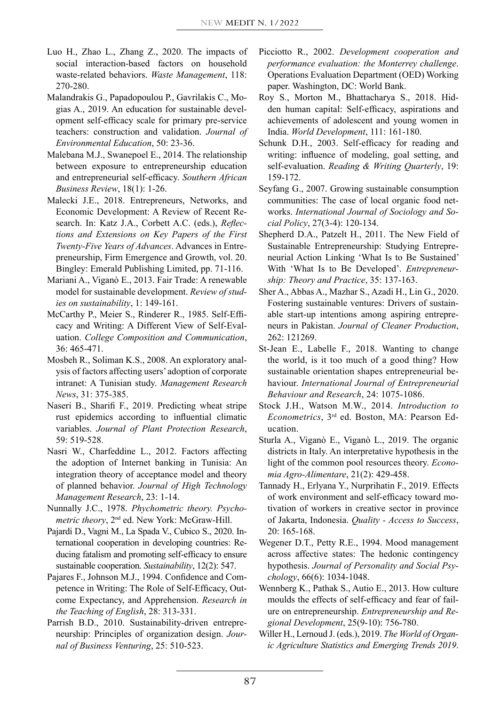- Luo H., Zhao L., Zhang Z., 2020. The impacts of social interaction-based factors on household waste-related behaviors. *Waste Management*, 118: 270-280.
- Malandrakis G., Papadopoulou P., Gavrilakis C., Mogias A., 2019. An education for sustainable development self-efficacy scale for primary pre-service teachers: construction and validation. *Journal of Environmental Education*, 50: 23-36.
- Malebana M.J., Swanepoel E., 2014. The relationship between exposure to entrepreneurship education and entrepreneurial self-efficacy. *Southern African Business Review*, 18(1): 1-26.
- Malecki J.E., 2018. Entrepreneurs, Networks, and Economic Development: A Review of Recent Research. In: Katz J.A., Corbett A.C. (eds.), *Reflections and Extensions on Key Papers of the First Twenty-Five Years of Advances*. Advances in Entrepreneurship, Firm Emergence and Growth, vol. 20. Bingley: Emerald Publishing Limited, pp. 71-116.
- Mariani A., Viganò E., 2013. Fair Trade: A renewable model for sustainable development. *Review of studies on sustainability*, 1: 149-161.
- McCarthy P., Meier S., Rinderer R., 1985. Self-Efficacy and Writing: A Different View of Self-Evaluation. *College Composition and Communication*, 36: 465-471.
- Mosbeh R., Soliman K.S., 2008. An exploratory analysis of factors affecting users' adoption of corporate intranet: A Tunisian study. *Management Research News*, 31: 375-385.
- Naseri B., Sharifi F., 2019. Predicting wheat stripe rust epidemics according to influential climatic variables. *Journal of Plant Protection Research*, 59: 519-528.
- Nasri W., Charfeddine L., 2012. Factors affecting the adoption of Internet banking in Tunisia: An integration theory of acceptance model and theory of planned behavior. *Journal of High Technology Management Research*, 23: 1-14.
- Nunnally J.C., 1978. *Phychometric theory. Psychometric theory*, 2nd ed. New York: McGraw-Hill.
- Pajardi D., Vagni M., La Spada V., Cubico S., 2020. International cooperation in developing countries: Reducing fatalism and promoting self-efficacy to ensure sustainable cooperation. *Sustainability*, 12(2): 547.
- Pajares F., Johnson M.J., 1994. Confidence and Competence in Writing: The Role of Self-Efficacy, Outcome Expectancy, and Apprehension. *Research in the Teaching of English*, 28: 313-331.
- Parrish B.D., 2010. Sustainability-driven entrepreneurship: Principles of organization design. *Journal of Business Venturing*, 25: 510-523.
- Picciotto R., 2002. *Development cooperation and performance evaluation: the Monterrey challenge*. Operations Evaluation Department (OED) Working paper. Washington, DC: World Bank.
- Roy S., Morton M., Bhattacharya S., 2018. Hidden human capital: Self-efficacy, aspirations and achievements of adolescent and young women in India. *World Development*, 111: 161-180.
- Schunk D.H., 2003. Self-efficacy for reading and writing: influence of modeling, goal setting, and self-evaluation. *Reading & Writing Quarterly*, 19: 159-172.
- Seyfang G., 2007. Growing sustainable consumption communities: The case of local organic food networks. *International Journal of Sociology and Social Policy*, 27(3-4): 120-134.
- Shepherd D.A., Patzelt H., 2011. The New Field of Sustainable Entrepreneurship: Studying Entrepreneurial Action Linking 'What Is to Be Sustained' With 'What Is to Be Developed'. *Entrepreneurship: Theory and Practice*, 35: 137-163.
- Sher A., Abbas A., Mazhar S., Azadi H., Lin G., 2020. Fostering sustainable ventures: Drivers of sustainable start-up intentions among aspiring entrepreneurs in Pakistan. *Journal of Cleaner Production*, 262: 121269.
- St-Jean E., Labelle F., 2018. Wanting to change the world, is it too much of a good thing? How sustainable orientation shapes entrepreneurial behaviour. *International Journal of Entrepreneurial Behaviour and Research*, 24: 1075-1086.
- Stock J.H., Watson M.W., 2014. *Introduction to Econometrics*, 3rd ed. Boston, MA: Pearson Education.
- Sturla A., Viganò E., Viganò L., 2019. The organic districts in Italy. An interpretative hypothesis in the light of the common pool resources theory. *Economia Agro-Alimentare*, 21(2): 429-458.
- Tannady H., Erlyana Y., Nurprihatin F., 2019. Effects of work environment and self-efficacy toward motivation of workers in creative sector in province of Jakarta, Indonesia. *Quality - Access to Success*, 20: 165-168.
- Wegener D.T., Petty R.E., 1994. Mood management across affective states: The hedonic contingency hypothesis. *Journal of Personality and Social Psychology*, 66(6): 1034-1048.
- Wennberg K., Pathak S., Autio E., 2013. How culture moulds the effects of self-efficacy and fear of failure on entrepreneurship. *Entrepreneurship and Regional Development*, 25(9-10): 756-780.
- Willer H., Lernoud J. (eds.), 2019. *The World of Organic Agriculture Statistics and Emerging Trends 2019*.